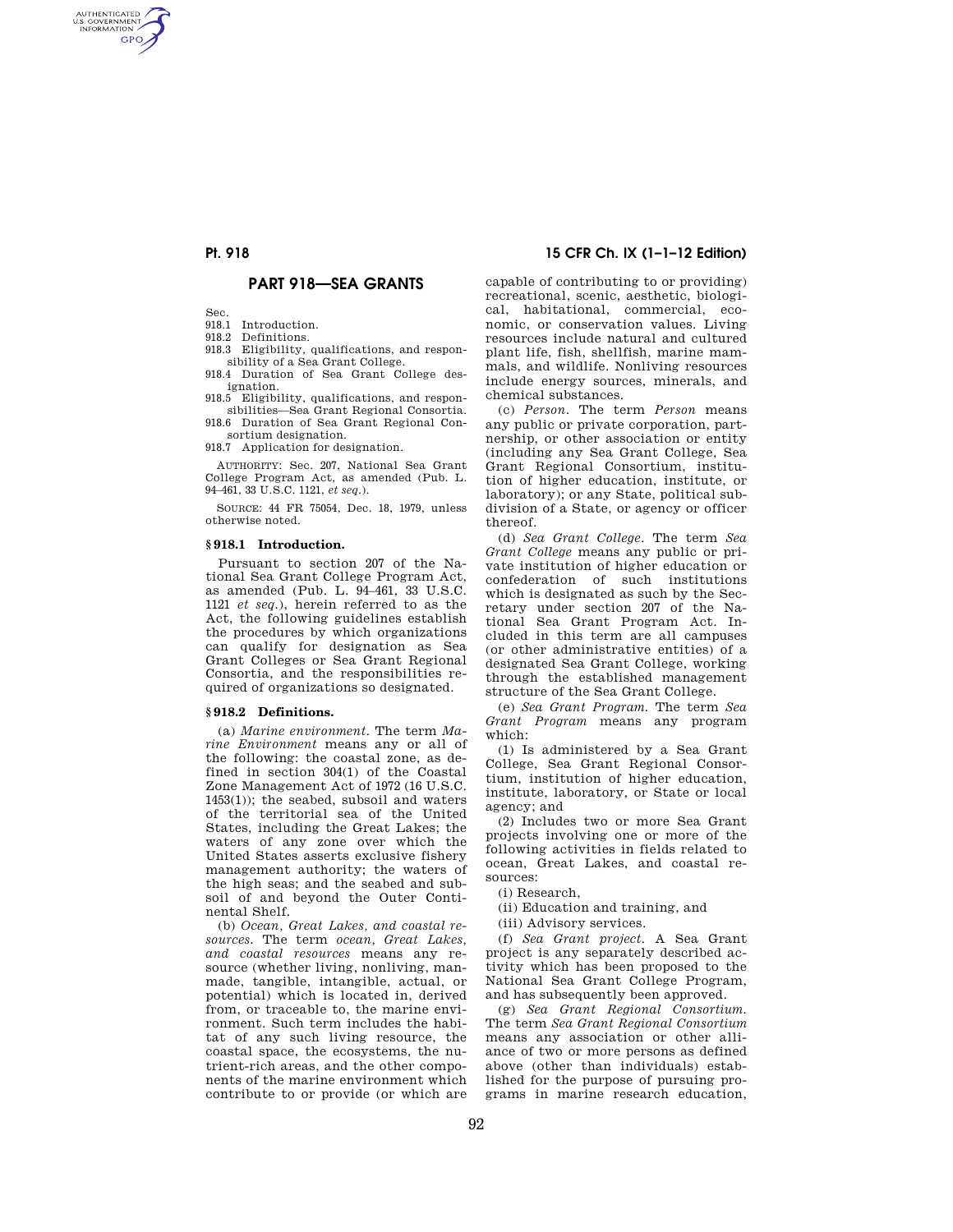AUTHENTICATED<br>U.S. GOVERNMENT<br>INFORMATION **GPO** 

# **PART 918—SEA GRANTS**

Sec.

918.1 Introduction.

918.2 Definitions.

918.3 Eligibility, qualifications, and responsibility of a Sea Grant College.

918.4 Duration of Sea Grant College designation.

918.5 Eligibility, qualifications, and responsibilities—Sea Grant Regional Consortia.

918.6 Duration of Sea Grant Regional Consortium designation.

918.7 Application for designation.

AUTHORITY: Sec. 207, National Sea Grant College Program Act, as amended (Pub. L. 94–461, 33 U.S.C. 1121, *et seq.*).

SOURCE: 44 FR 75054, Dec. 18, 1979, unless otherwise noted.

#### **§ 918.1 Introduction.**

Pursuant to section 207 of the National Sea Grant College Program Act, as amended (Pub. L. 94–461, 33 U.S.C. 1121 *et seq.*), herein referred to as the Act, the following guidelines establish the procedures by which organizations can qualify for designation as Sea Grant Colleges or Sea Grant Regional Consortia, and the responsibilities required of organizations so designated.

# **§ 918.2 Definitions.**

(a) *Marine environment.* The term *Marine Environment* means any or all of the following: the coastal zone, as defined in section 304(1) of the Coastal Zone Management Act of 1972 (16 U.S.C. 1453(1)); the seabed, subsoil and waters of the territorial sea of the United States, including the Great Lakes; the waters of any zone over which the United States asserts exclusive fishery management authority; the waters of the high seas; and the seabed and subsoil of and beyond the Outer Continental Shelf.

(b) *Ocean, Great Lakes, and coastal resources.* The term *ocean, Great Lakes, and coastal resources* means any resource (whether living, nonliving, manmade, tangible, intangible, actual, or potential) which is located in, derived from, or traceable to, the marine environment. Such term includes the habitat of any such living resource, the coastal space, the ecosystems, the nutrient-rich areas, and the other components of the marine environment which contribute to or provide (or which are

# **Pt. 918 15 CFR Ch. IX (1–1–12 Edition)**

capable of contributing to or providing) recreational, scenic, aesthetic, biological, habitational, commercial, economic, or conservation values. Living resources include natural and cultured plant life, fish, shellfish, marine mammals, and wildlife. Nonliving resources include energy sources, minerals, and chemical substances.

(c) *Person.* The term *Person* means any public or private corporation, partnership, or other association or entity (including any Sea Grant College, Sea Grant Regional Consortium, institution of higher education, institute, or laboratory); or any State, political subdivision of a State, or agency or officer thereof.

(d) *Sea Grant College.* The term *Sea Grant College* means any public or private institution of higher education or confederation of such institutions which is designated as such by the Secretary under section 207 of the National Sea Grant Program Act. Included in this term are all campuses (or other administrative entities) of a designated Sea Grant College, working through the established management structure of the Sea Grant College.

(e) *Sea Grant Program.* The term *Sea Grant Program* means any program which:

(1) Is administered by a Sea Grant College, Sea Grant Regional Consortium, institution of higher education, institute, laboratory, or State or local agency; and

(2) Includes two or more Sea Grant projects involving one or more of the following activities in fields related to ocean, Great Lakes, and coastal resources:

(i) Research,

(ii) Education and training, and

(iii) Advisory services.

(f) *Sea Grant project.* A Sea Grant project is any separately described activity which has been proposed to the National Sea Grant College Program, and has subsequently been approved.

(g) *Sea Grant Regional Consortium.*  The term *Sea Grant Regional Consortium*  means any association or other alliance of two or more persons as defined above (other than individuals) established for the purpose of pursuing programs in marine research education,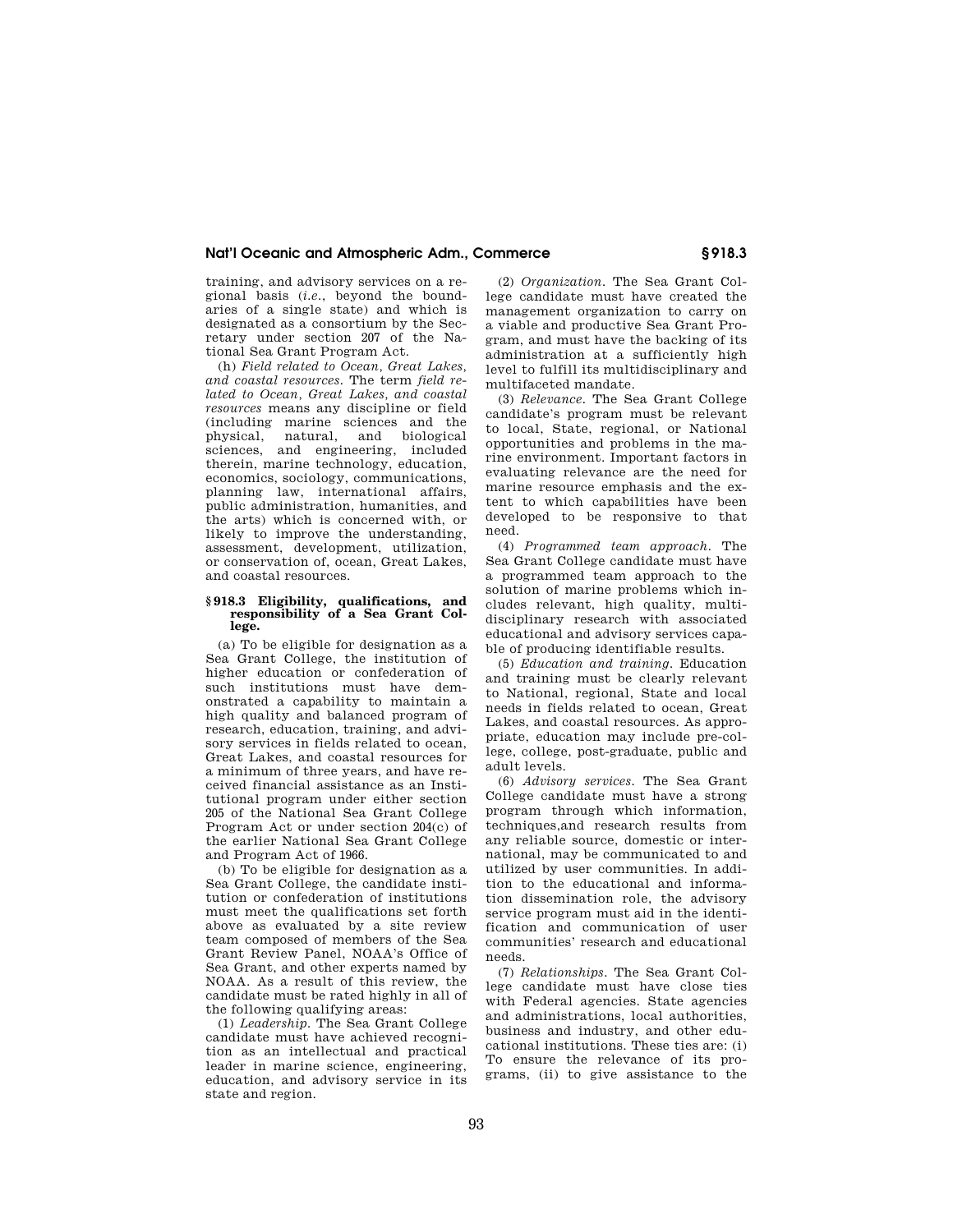## **Nat'l Oceanic and Atmospheric Adm., Commerce § 918.3**

training, and advisory services on a regional basis (*i.e.*, beyond the boundaries of a single state) and which is designated as a consortium by the Secretary under section 207 of the National Sea Grant Program Act.

(h) *Field related to Ocean, Great Lakes, and coastal resources.* The term *field related to Ocean, Great Lakes, and coastal resources* means any discipline or field (including marine sciences and the physical, natural, and biological physical, natural, and biological sciences, and engineering, included therein, marine technology, education, economics, sociology, communications, planning law, international affairs, public administration, humanities, and the arts) which is concerned with, or likely to improve the understanding, assessment, development, utilization, or conservation of, ocean, Great Lakes, and coastal resources.

#### **§ 918.3 Eligibility, qualifications, and responsibility of a Sea Grant College.**

(a) To be eligible for designation as a Sea Grant College, the institution of higher education or confederation of such institutions must have demonstrated a capability to maintain a high quality and balanced program of research, education, training, and advisory services in fields related to ocean, Great Lakes, and coastal resources for a minimum of three years, and have received financial assistance as an Institutional program under either section 205 of the National Sea Grant College Program Act or under section 204(c) of the earlier National Sea Grant College and Program Act of 1966.

(b) To be eligible for designation as a Sea Grant College, the candidate institution or confederation of institutions must meet the qualifications set forth above as evaluated by a site review team composed of members of the Sea Grant Review Panel, NOAA's Office of Sea Grant, and other experts named by NOAA. As a result of this review, the candidate must be rated highly in all of the following qualifying areas:

(1) *Leadership.* The Sea Grant College candidate must have achieved recognition as an intellectual and practical leader in marine science, engineering, education, and advisory service in its state and region.

(2) *Organization.* The Sea Grant College candidate must have created the management organization to carry on a viable and productive Sea Grant Program, and must have the backing of its administration at a sufficiently high level to fulfill its multidisciplinary and multifaceted mandate.

(3) *Relevance.* The Sea Grant College candidate's program must be relevant to local, State, regional, or National opportunities and problems in the marine environment. Important factors in evaluating relevance are the need for marine resource emphasis and the extent to which capabilities have been developed to be responsive to that need.

(4) *Programmed team approach.* The Sea Grant College candidate must have a programmed team approach to the solution of marine problems which includes relevant, high quality, multidisciplinary research with associated educational and advisory services capable of producing identifiable results.

(5) *Education and training.* Education and training must be clearly relevant to National, regional, State and local needs in fields related to ocean, Great Lakes, and coastal resources. As appropriate, education may include pre-college, college, post-graduate, public and adult levels.

(6) *Advisory services.* The Sea Grant College candidate must have a strong program through which information, techniques,and research results from any reliable source, domestic or international, may be communicated to and utilized by user communities. In addition to the educational and information dissemination role, the advisory service program must aid in the identification and communication of user communities' research and educational needs.

(7) *Relationships.* The Sea Grant College candidate must have close ties with Federal agencies. State agencies and administrations, local authorities, business and industry, and other educational institutions. These ties are: (i) To ensure the relevance of its programs, (ii) to give assistance to the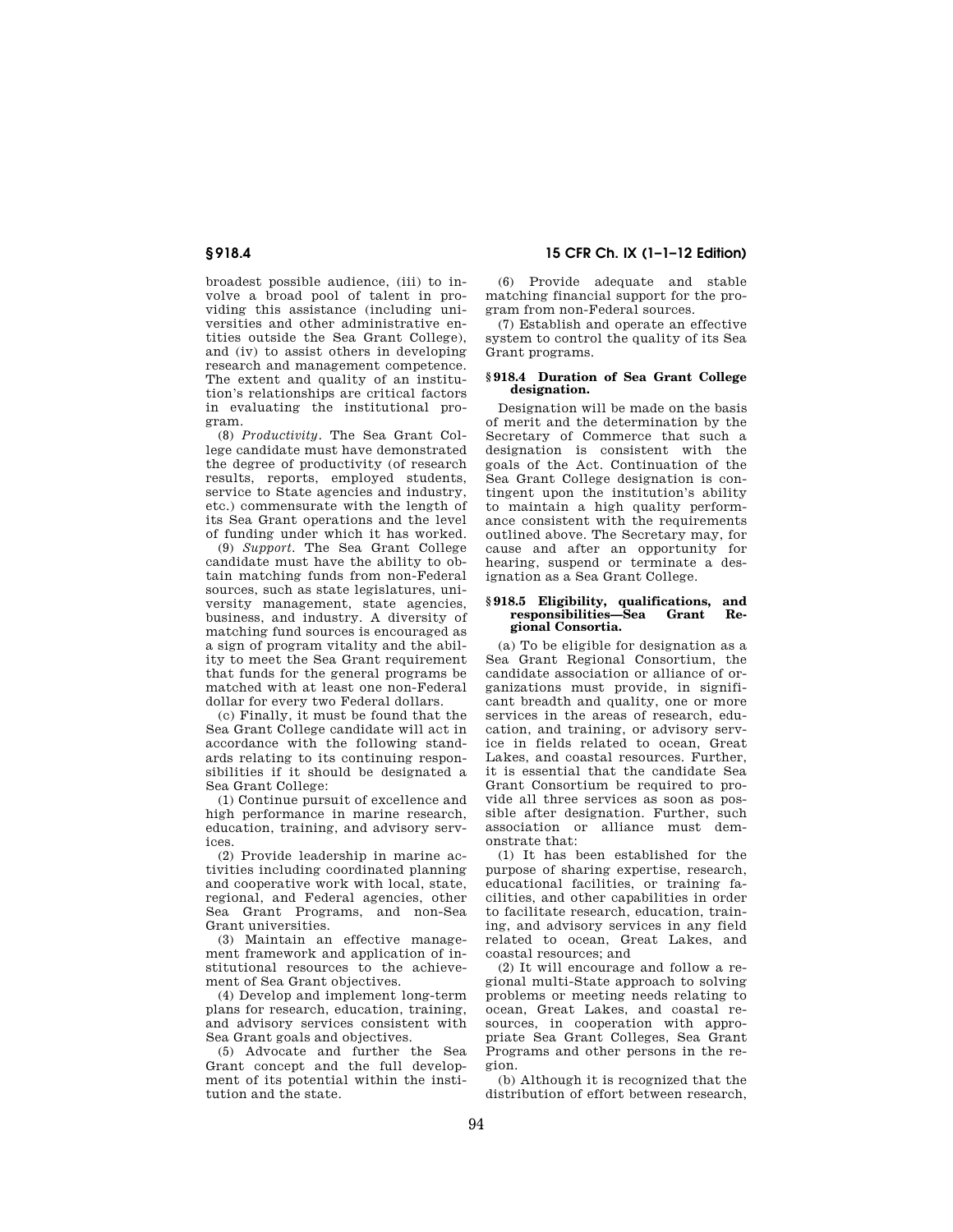broadest possible audience, (iii) to involve a broad pool of talent in providing this assistance (including universities and other administrative entities outside the Sea Grant College), and (iv) to assist others in developing research and management competence. The extent and quality of an institution's relationships are critical factors in evaluating the institutional program.

(8) *Productivity.* The Sea Grant College candidate must have demonstrated the degree of productivity (of research results, reports, employed students, service to State agencies and industry, etc.) commensurate with the length of its Sea Grant operations and the level of funding under which it has worked.

(9) *Support.* The Sea Grant College candidate must have the ability to obtain matching funds from non-Federal sources, such as state legislatures, university management, state agencies, business, and industry. A diversity of matching fund sources is encouraged as a sign of program vitality and the ability to meet the Sea Grant requirement that funds for the general programs be matched with at least one non-Federal dollar for every two Federal dollars.

(c) Finally, it must be found that the Sea Grant College candidate will act in accordance with the following standards relating to its continuing responsibilities if it should be designated a Sea Grant College:

(1) Continue pursuit of excellence and high performance in marine research, education, training, and advisory services.

(2) Provide leadership in marine activities including coordinated planning and cooperative work with local, state, regional, and Federal agencies, other Sea Grant Programs, and non-Sea Grant universities.

(3) Maintain an effective management framework and application of institutional resources to the achievement of Sea Grant objectives.

(4) Develop and implement long-term plans for research, education, training, and advisory services consistent with Sea Grant goals and objectives.

(5) Advocate and further the Sea Grant concept and the full development of its potential within the institution and the state.

**§ 918.4 15 CFR Ch. IX (1–1–12 Edition)** 

(6) Provide adequate and stable matching financial support for the program from non-Federal sources.

(7) Establish and operate an effective system to control the quality of its Sea Grant programs.

### **§ 918.4 Duration of Sea Grant College designation.**

Designation will be made on the basis of merit and the determination by the Secretary of Commerce that such a designation is consistent with the goals of the Act. Continuation of the Sea Grant College designation is contingent upon the institution's ability to maintain a high quality performance consistent with the requirements outlined above. The Secretary may, for cause and after an opportunity for hearing, suspend or terminate a designation as a Sea Grant College.

#### **§ 918.5 Eligibility, qualifications, and**  responsibilities—Sea **gional Consortia.**

(a) To be eligible for designation as a Sea Grant Regional Consortium, the candidate association or alliance of organizations must provide, in significant breadth and quality, one or more services in the areas of research, education, and training, or advisory service in fields related to ocean, Great Lakes, and coastal resources. Further, it is essential that the candidate Sea Grant Consortium be required to provide all three services as soon as possible after designation. Further, such association or alliance must demonstrate that:

(1) It has been established for the purpose of sharing expertise, research, educational facilities, or training facilities, and other capabilities in order to facilitate research, education, training, and advisory services in any field related to ocean, Great Lakes, and coastal resources; and

(2) It will encourage and follow a regional multi-State approach to solving problems or meeting needs relating to ocean, Great Lakes, and coastal resources, in cooperation with appropriate Sea Grant Colleges, Sea Grant Programs and other persons in the region.

(b) Although it is recognized that the distribution of effort between research,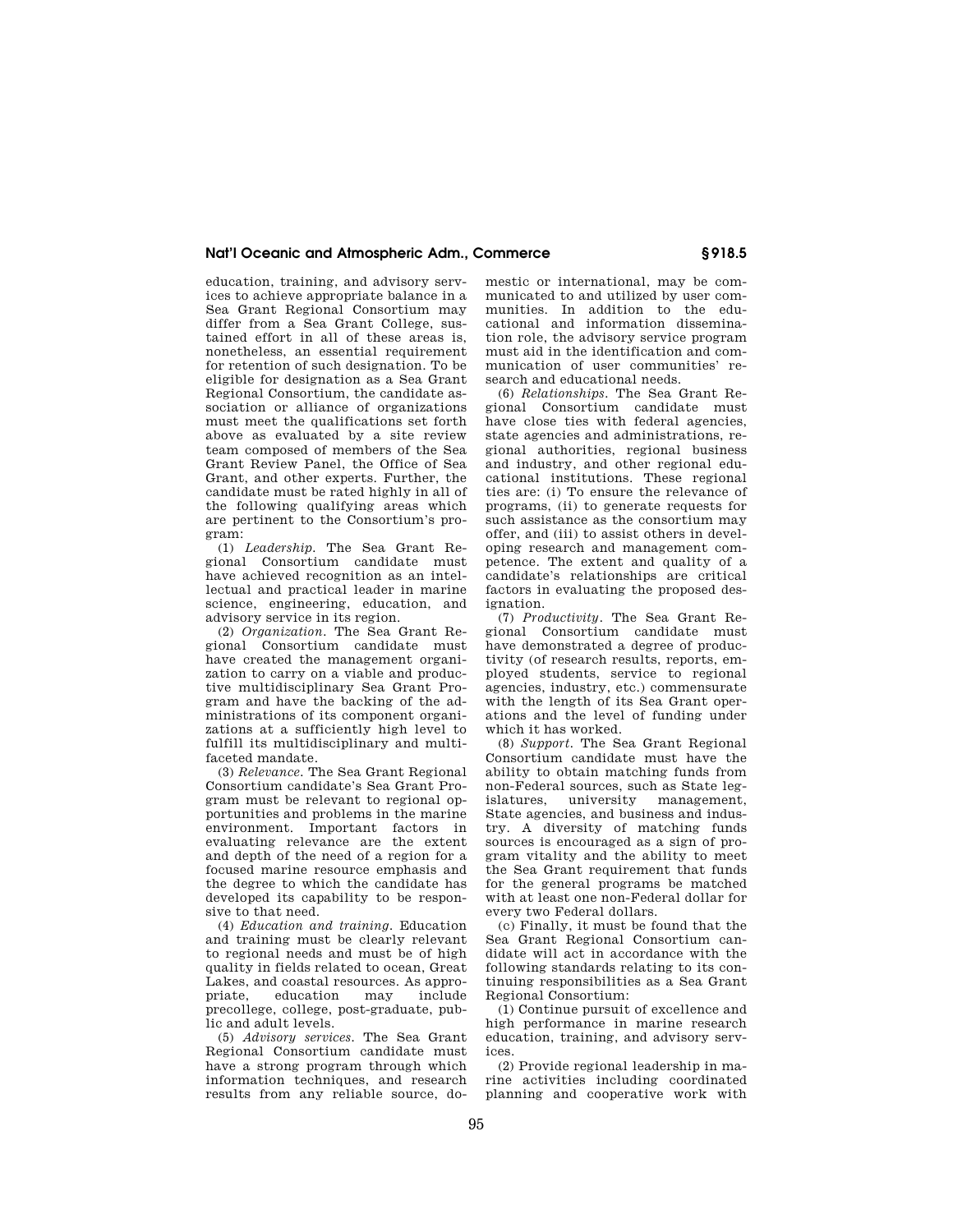## **Nat'l Oceanic and Atmospheric Adm., Commerce § 918.5**

education, training, and advisory services to achieve appropriate balance in a Sea Grant Regional Consortium may differ from a Sea Grant College, sustained effort in all of these areas is, nonetheless, an essential requirement for retention of such designation. To be eligible for designation as a Sea Grant Regional Consortium, the candidate association or alliance of organizations must meet the qualifications set forth above as evaluated by a site review team composed of members of the Sea Grant Review Panel, the Office of Sea Grant, and other experts. Further, the candidate must be rated highly in all of the following qualifying areas which are pertinent to the Consortium's program:

(1) *Leadership.* The Sea Grant Regional Consortium candidate must have achieved recognition as an intellectual and practical leader in marine science, engineering, education, and advisory service in its region.

(2) *Organization.* The Sea Grant Regional Consortium candidate must have created the management organization to carry on a viable and productive multidisciplinary Sea Grant Program and have the backing of the administrations of its component organizations at a sufficiently high level to fulfill its multidisciplinary and multifaceted mandate.

(3) *Relevance.* The Sea Grant Regional Consortium candidate's Sea Grant Program must be relevant to regional opportunities and problems in the marine environment. Important factors in evaluating relevance are the extent and depth of the need of a region for a focused marine resource emphasis and the degree to which the candidate has developed its capability to be responsive to that need.

(4) *Education and training.* Education and training must be clearly relevant to regional needs and must be of high quality in fields related to ocean, Great Lakes, and coastal resources. As approeducation may include precollege, college, post-graduate, public and adult levels.

(5) *Advisory services.* The Sea Grant Regional Consortium candidate must have a strong program through which information techniques, and research results from any reliable source, domestic or international, may be communicated to and utilized by user communities. In addition to the educational and information dissemination role, the advisory service program must aid in the identification and communication of user communities' research and educational needs.

(6) *Relationships.* The Sea Grant Regional Consortium candidate must have close ties with federal agencies, state agencies and administrations, regional authorities, regional business and industry, and other regional educational institutions. These regional ties are: (i) To ensure the relevance of programs, (ii) to generate requests for such assistance as the consortium may offer, and (iii) to assist others in developing research and management competence. The extent and quality of a candidate's relationships are critical factors in evaluating the proposed designation.

(7) *Productivity.* The Sea Grant Regional Consortium candidate must have demonstrated a degree of productivity (of research results, reports, employed students, service to regional agencies, industry, etc.) commensurate with the length of its Sea Grant operations and the level of funding under which it has worked.

(8) *Support.* The Sea Grant Regional Consortium candidate must have the ability to obtain matching funds from non-Federal sources, such as State legislatures, university management, State agencies, and business and industry. A diversity of matching funds sources is encouraged as a sign of program vitality and the ability to meet the Sea Grant requirement that funds for the general programs be matched with at least one non-Federal dollar for every two Federal dollars.

(c) Finally, it must be found that the Sea Grant Regional Consortium candidate will act in accordance with the following standards relating to its continuing responsibilities as a Sea Grant Regional Consortium:

(1) Continue pursuit of excellence and high performance in marine research education, training, and advisory services.

(2) Provide regional leadership in marine activities including coordinated planning and cooperative work with